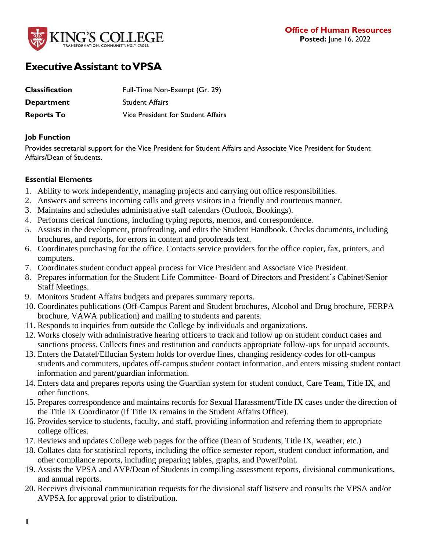

# **Executive Assistant to VPSA**

| <b>Classification</b> | Full-Time Non-Exempt (Gr. 29)      |
|-----------------------|------------------------------------|
| <b>Department</b>     | <b>Student Affairs</b>             |
| <b>Reports To</b>     | Vice President for Student Affairs |

#### **Job Function**

Provides secretarial support for the Vice President for Student Affairs and Associate Vice President for Student Affairs/Dean of Students.

## **Essential Elements**

- 1. Ability to work independently, managing projects and carrying out office responsibilities.
- 2. Answers and screens incoming calls and greets visitors in a friendly and courteous manner.
- 3. Maintains and schedules administrative staff calendars (Outlook, Bookings).
- 4. Performs clerical functions, including typing reports, memos, and correspondence.
- 5. Assists in the development, proofreading, and edits the Student Handbook. Checks documents, including brochures, and reports, for errors in content and proofreads text.
- 6. Coordinates purchasing for the office. Contacts service providers for the office copier, fax, printers, and computers.
- 7. Coordinates student conduct appeal process for Vice President and Associate Vice President.
- 8. Prepares information for the Student Life Committee- Board of Directors and President's Cabinet/Senior Staff Meetings.
- 9. Monitors Student Affairs budgets and prepares summary reports.
- 10. Coordinates publications (Off-Campus Parent and Student brochures, Alcohol and Drug brochure, FERPA brochure, VAWA publication) and mailing to students and parents.
- 11. Responds to inquiries from outside the College by individuals and organizations.
- 12. Works closely with administrative hearing officers to track and follow up on student conduct cases and sanctions process. Collects fines and restitution and conducts appropriate follow-ups for unpaid accounts.
- 13. Enters the Datatel/Ellucian System holds for overdue fines, changing residency codes for off-campus students and commuters, updates off-campus student contact information, and enters missing student contact information and parent/guardian information.
- 14. Enters data and prepares reports using the Guardian system for student conduct, Care Team, Title IX, and other functions.
- 15. Prepares correspondence and maintains records for Sexual Harassment/Title IX cases under the direction of the Title IX Coordinator (if Title IX remains in the Student Affairs Office).
- 16. Provides service to students, faculty, and staff, providing information and referring them to appropriate college offices.
- 17. Reviews and updates College web pages for the office (Dean of Students, Title IX, weather, etc.)
- 18. Collates data for statistical reports, including the office semester report, student conduct information, and other compliance reports, including preparing tables, graphs, and PowerPoint.
- 19. Assists the VPSA and AVP/Dean of Students in compiling assessment reports, divisional communications, and annual reports.
- 20. Receives divisional communication requests for the divisional staff listserv and consults the VPSA and/or AVPSA for approval prior to distribution.